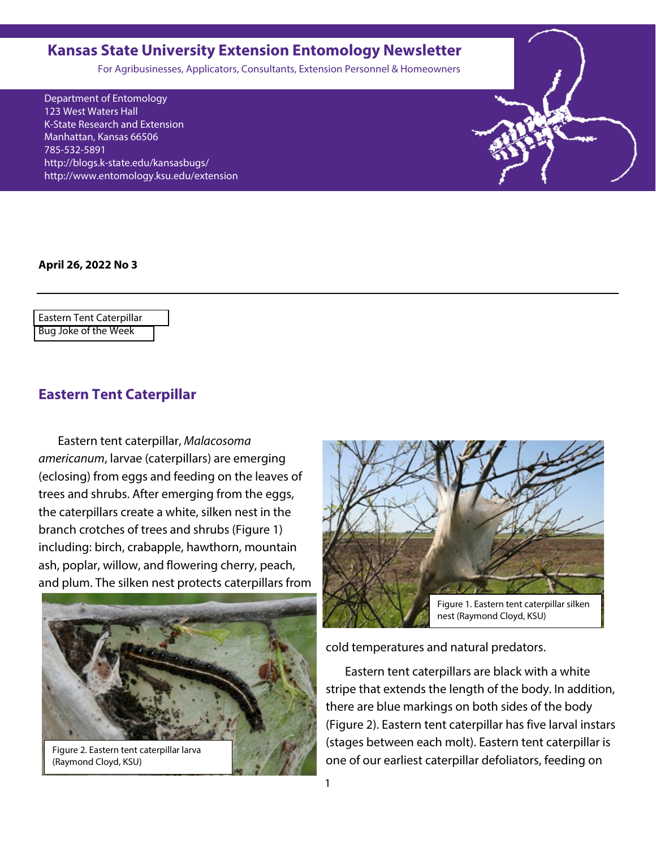### <span id="page-0-0"></span>**Kansas State University Extension Entomology Newsletter**

For Agribusinesses, Applicators, Consultants, Extension Personnel & Homeowners

Department of Entomology 123 West Waters Hall K-State Research and Extension Manhattan, Kansas 66506 785-532-5891 http://blogs.k-state.edu/kansasbugs/ http://www.entomology.ksu.edu/extension

**April 26, 2022 No 3**

Eastern Tent Caterpillar [Bug Joke of the Week](#page-2-0)

### **Eastern Tent Caterpillar**

Eastern tent caterpillar, *Malacosoma americanum*, larvae (caterpillars) are emerging (eclosing) from eggs and feeding on the leaves of trees and shrubs. After emerging from the eggs, the caterpillars create a white, silken nest in the branch crotches of trees and shrubs (Figure 1) including: birch, crabapple, hawthorn, mountain ash, poplar, willow, and flowering cherry, peach, and plum. The silken nest protects caterpillars from



Figure 2. Eastern tent caterpillar larva (Raymond Cloyd, KSU)



cold temperatures and natural predators.

Eastern tent caterpillars are black with a white stripe that extends the length of the body. In addition, there are blue markings on both sides of the body (Figure 2). Eastern tent caterpillar has five larval instars (stages between each molt). Eastern tent caterpillar is one of our earliest caterpillar defoliators, feeding on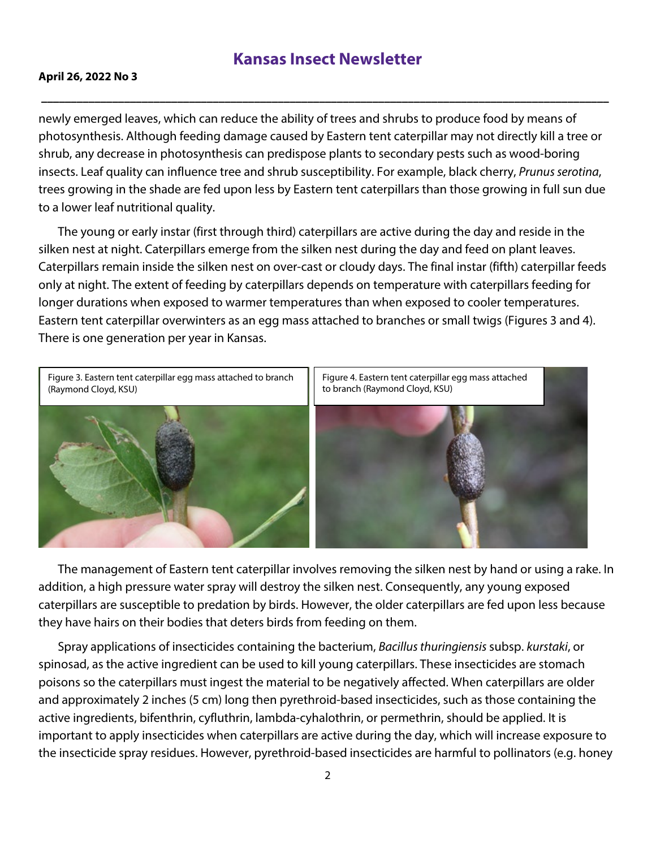### **Kansas Insect Newsletter**

**\_\_\_\_\_\_\_\_\_\_\_\_\_\_\_\_\_\_\_\_\_\_\_\_\_\_\_\_\_\_\_\_\_\_\_\_\_\_\_\_\_\_\_\_\_\_\_\_\_\_\_\_\_\_\_\_\_\_\_\_\_\_\_\_\_\_\_\_\_\_\_\_\_\_\_\_\_\_\_\_\_\_\_\_\_\_\_\_\_\_\_\_\_\_\_\_**

### **April 26, 2022 No 3**

newly emerged leaves, which can reduce the ability of trees and shrubs to produce food by means of photosynthesis. Although feeding damage caused by Eastern tent caterpillar may not directly kill a tree or shrub, any decrease in photosynthesis can predispose plants to secondary pests such as wood-boring insects. Leaf quality can influence tree and shrub susceptibility. For example, black cherry, *Prunus serotina*, trees growing in the shade are fed upon less by Eastern tent caterpillars than those growing in full sun due to a lower leaf nutritional quality.

The young or early instar (first through third) caterpillars are active during the day and reside in the silken nest at night. Caterpillars emerge from the silken nest during the day and feed on plant leaves. Caterpillars remain inside the silken nest on over-cast or cloudy days. The final instar (fifth) caterpillar feeds only at night. The extent of feeding by caterpillars depends on temperature with caterpillars feeding for longer durations when exposed to warmer temperatures than when exposed to cooler temperatures. Eastern tent caterpillar overwinters as an egg mass attached to branches or small twigs (Figures 3 and 4). There is one generation per year in Kansas.



The management of Eastern tent caterpillar involves removing the silken nest by hand or using a rake. In addition, a high pressure water spray will destroy the silken nest. Consequently, any young exposed caterpillars are susceptible to predation by birds. However, the older caterpillars are fed upon less because they have hairs on their bodies that deters birds from feeding on them.

Spray applications of insecticides containing the bacterium, *Bacillus thuringiensis* subsp. *kurstaki*, or spinosad, as the active ingredient can be used to kill young caterpillars. These insecticides are stomach poisons so the caterpillars must ingest the material to be negatively affected. When caterpillars are older and approximately 2 inches (5 cm) long then pyrethroid-based insecticides, such as those containing the active ingredients, bifenthrin, cyfluthrin, lambda-cyhalothrin, or permethrin, should be applied. It is important to apply insecticides when caterpillars are active during the day, which will increase exposure to the insecticide spray residues. However, pyrethroid-based insecticides are harmful to pollinators (e.g. honey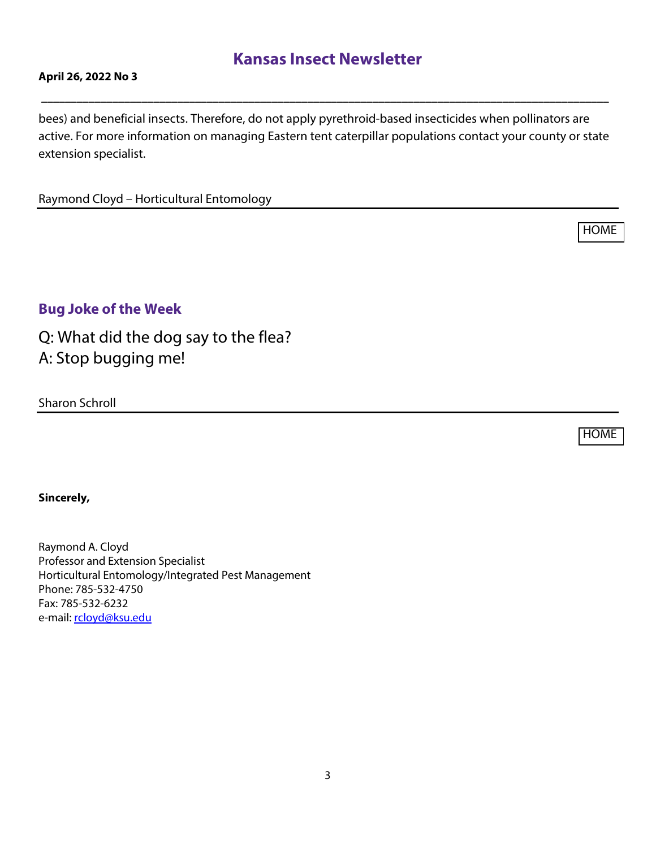## **Kansas Insect Newsletter**

**\_\_\_\_\_\_\_\_\_\_\_\_\_\_\_\_\_\_\_\_\_\_\_\_\_\_\_\_\_\_\_\_\_\_\_\_\_\_\_\_\_\_\_\_\_\_\_\_\_\_\_\_\_\_\_\_\_\_\_\_\_\_\_\_\_\_\_\_\_\_\_\_\_\_\_\_\_\_\_\_\_\_\_\_\_\_\_\_\_\_\_\_\_\_\_\_** 

### <span id="page-2-0"></span>**April 26, 2022 No 3**

bees) and beneficial insects. Therefore, do not apply pyrethroid-based insecticides when pollinators are active. For more information on managing Eastern tent caterpillar populations contact your county or state extension specialist.

Raymond Cloyd – Horticultural Entomology

**Bug Joke of the Week**

Q: What did the dog say to the flea? A: Stop bugging me!

Sharon Schroll

[HOME](#page-0-0)

[HOME](#page-0-0)

#### **Sincerely,**

Raymond A. Cloyd Professor and Extension Specialist Horticultural Entomology/Integrated Pest Management Phone: 785-532-4750 Fax: 785-532-6232 e-mail: [rcloyd@ksu.edu](mailto:rcloyd@ksu.edu)